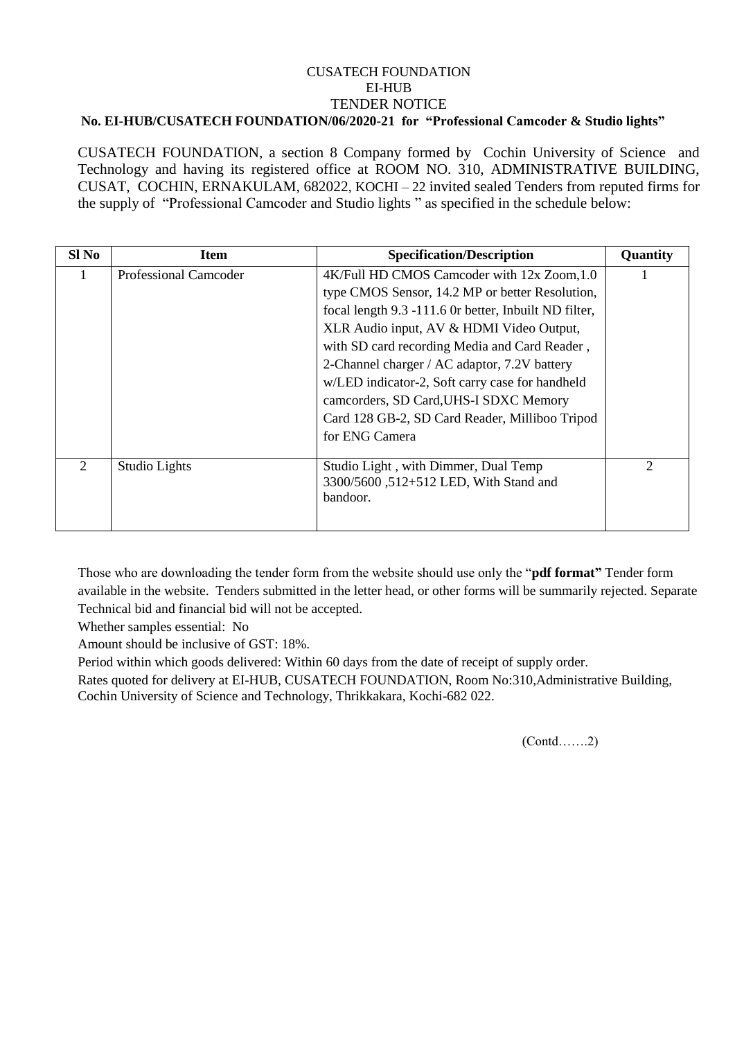## CUSATECH FOUNDATION EI-HUB TENDER NOTICE **No. EI-HUB/CUSATECH FOUNDATION/06/2020-21 for "Professional Camcoder & Studio lights"**

CUSATECH FOUNDATION, a section 8 Company formed by Cochin University of Science and Technology and having its registered office at ROOM NO. 310, ADMINISTRATIVE BUILDING, CUSAT, COCHIN, ERNAKULAM, 682022, KOCHI – 22 invited sealed Tenders from reputed firms for the supply of "Professional Camcoder and Studio lights " as specified in the schedule below:

| $SI$ No        | <b>Item</b>                  | <b>Specification/Description</b>                      | Quantity |
|----------------|------------------------------|-------------------------------------------------------|----------|
|                | <b>Professional Camcoder</b> | 4K/Full HD CMOS Camcoder with 12x Zoom, 1.0           |          |
|                |                              | type CMOS Sensor, 14.2 MP or better Resolution,       |          |
|                |                              | focal length 9.3 -111.6 Or better, Inbuilt ND filter, |          |
|                |                              | XLR Audio input, AV & HDMI Video Output,              |          |
|                |                              | with SD card recording Media and Card Reader,         |          |
|                |                              | 2-Channel charger / AC adaptor, 7.2V battery          |          |
|                |                              | w/LED indicator-2, Soft carry case for handheld       |          |
|                |                              | camcorders, SD Card, UHS-I SDXC Memory                |          |
|                |                              | Card 128 GB-2, SD Card Reader, Milliboo Tripod        |          |
|                |                              | for ENG Camera                                        |          |
| $\overline{2}$ | Studio Lights                | Studio Light, with Dimmer, Dual Temp                  | 2        |
|                |                              | 3300/5600, 512+512 LED, With Stand and                |          |
|                |                              | bandoor.                                              |          |
|                |                              |                                                       |          |

Those who are downloading the tender form from the website should use only the "**pdf format"** Tender form available in the website. Tenders submitted in the letter head, or other forms will be summarily rejected. Separate Technical bid and financial bid will not be accepted.

Whether samples essential: No

Amount should be inclusive of GST: 18%.

Period within which goods delivered: Within 60 days from the date of receipt of supply order.

Rates quoted for delivery at EI-HUB, CUSATECH FOUNDATION, Room No:310,Administrative Building, Cochin University of Science and Technology, Thrikkakara, Kochi-682 022.

(Contd…….2)